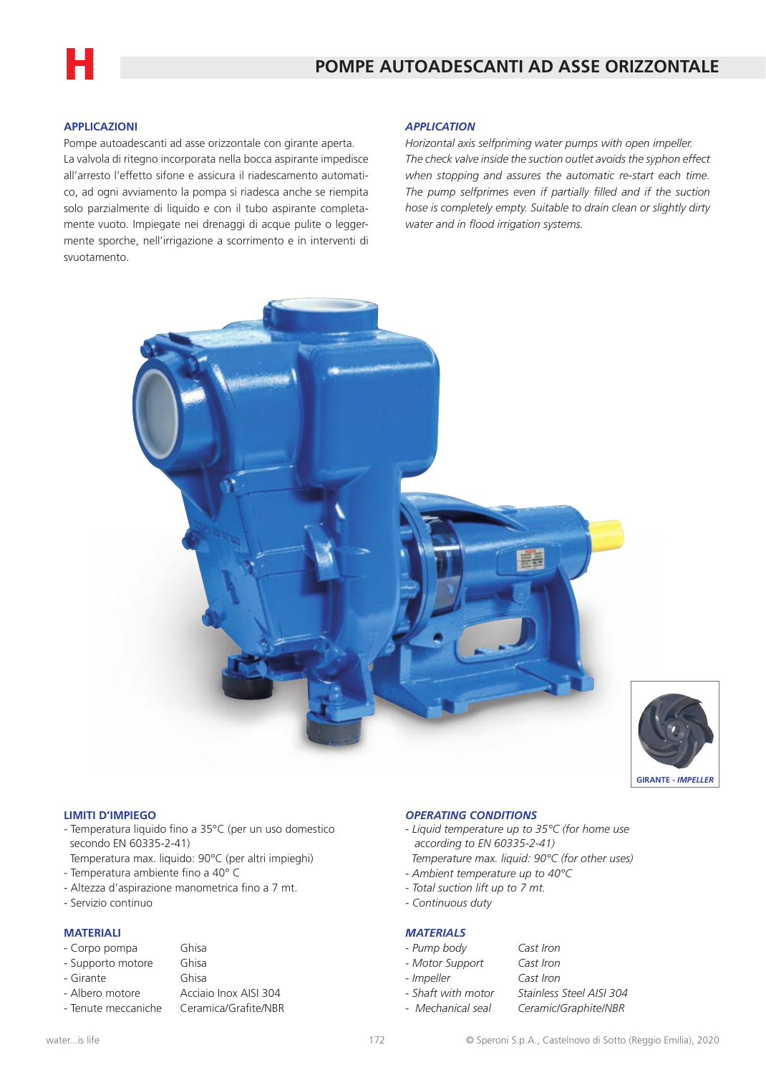

# **APPLICAZIONI**

Pompe autoadescanti ad asse orizzontale con girante aperta. La valvola di ritegno incorporata nella bocca aspirante impedisce all'arresto l'effetto sifone e assicura il riadescamento automatico, ad ogni avviamento la pompa si riadesca anche se riempita solo parzialmente di liquido e con il tubo aspirante completamente vuoto. Impiegate nei drenaggi di acque pulite o leggermente sporche, nell'irrigazione a scorrimento e in interventi di svuotamento.

### *APPLICATION*

*Horizontal axis selfpriming water pumps with open impeller. The check valve inside the suction outlet avoids the syphon effect when stopping and assures the automatic re-start each time. The pump selfprimes even if partially filled and if the suction hose is completely empty. Suitable to drain clean or slightly dirty water and in flood irrigation systems.*





### **LIMITI D'IMPIEGO**

- Temperatura liquido fino a 35°C (per un uso domestico secondo EN 60335-2-41)
- Temperatura max. liquido: 90°C (per altri impieghi)
- Temperatura ambiente fino a 40° C
- Altezza d'aspirazione manometrica fino a 7 mt.
- Servizio continuo

## **MATERIALI**

| - Corpo pompa     | Ghisa                 |
|-------------------|-----------------------|
| - Supporto motore | Ghisa                 |
| - Girante         | Ghisa                 |
| - Albero motore   | Acciaio Inox AISI 304 |
|                   |                       |

#### - Tenute meccaniche Ceramica/Grafite/NBR

*- Motor Support Cast Iron - Impeller Cast Iron*

*- Continuous duty*

*OPERATING CONDITIONS*

 *according to EN 60335-2-41)*

*- Ambient temperature up to 40°C - Total suction lift up to 7 mt.*

*- Liquid temperature up to 35°C (for home use*

 *Temperature max. liquid: 90°C (for other uses)*

*MATERIALS*

- *Shaft with motor Stainless Steel AISI 304 - Mechanical seal Ceramic/Graphite/NBR*
	-

*- Pump body Cast Iron*